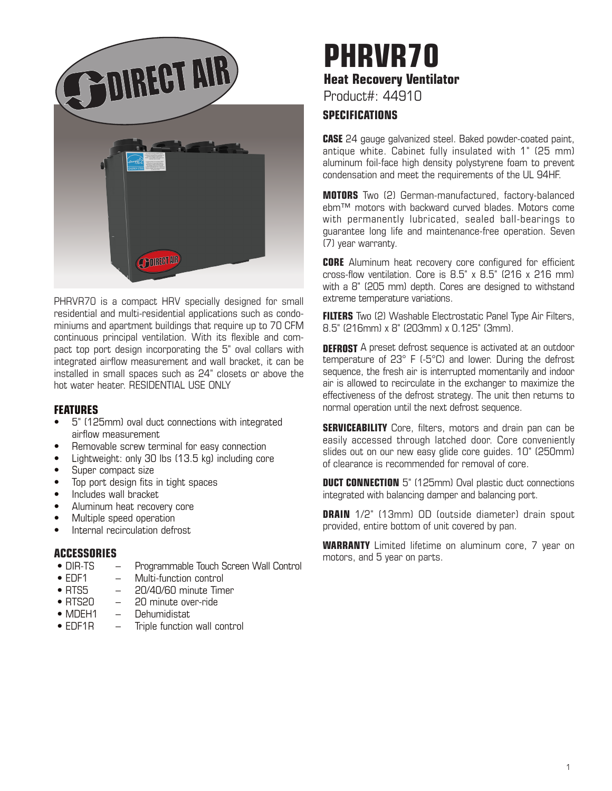

PHRVR70 is a compact HRV specially designed for small residential and multi-residential applications such as condominiums and apartment buildings that require up to 70 CFM continuous principal ventilation. With its flexible and compact top port design incorporating the 5" oval collars with integrated airflow measurement and wall bracket, it can be installed in small spaces such as 24" closets or above the hot water heater. RESIDENTIAL USE ONLY

### **FEATURES**

- 5" (125mm) oval duct connections with integrated airflow measurement
- Removable screw terminal for easy connection
- Lightweight: only 30 lbs (13.5 kg) including core
- Super compact size
- Top port design fits in tight spaces
- Includes wall bracket
- Aluminum heat recovery core
- Multiple speed operation
- Internal recirculation defrost

# **ACCESSORIES**

- Programmable Touch Screen Wall Control
- EDF1 Multi-function control
- RTS5 20/40/60 minute Timer
- RTS20 20 minute over-ride
- MDEH1 Dehumidistat
- EDF1R Triple function wall control

# **PHRVR70 Heat Recovery Ventilator**

Product#: 44910

# **SPECIFICATIONS**

**CASE** 24 gauge galvanized steel. Baked powder-coated paint, antique white. Cabinet fully insulated with 1" (25 mm) aluminum foil-face high density polystyrene foam to prevent condensation and meet the requirements of the UL 94HF.

**MOTORS** Two (2) German-manufactured, factory-balanced ebm™ motors with backward curved blades. Motors come with permanently lubricated, sealed ball-bearings to guarantee long life and maintenance-free operation. Seven (7) year warranty.

**CORE** Aluminum heat recovery core configured for efficient cross-flow ventilation. Core is 8.5" x 8.5" (216 x 216 mm) with a 8" (205 mm) depth. Cores are designed to withstand extreme temperature variations.

**FILTERS** Two (2) Washable Electrostatic Panel Type Air Filters, 8.5" (216mm) x 8" (203mm) x 0.125" (3mm).

**DEFROST** A preset defrost sequence is activated at an outdoor temperature of 23° F (-5°C) and lower. During the defrost sequence, the fresh air is interrupted momentarily and indoor air is allowed to recirculate in the exchanger to maximize the effectiveness of the defrost strategy. The unit then returns to normal operation until the next defrost sequence.

**SERVICEABILITY** Core, filters, motors and drain pan can be easily accessed through latched door. Core conveniently slides out on our new easy glide core guides. 10" (250mm) of clearance is recommended for removal of core.

**DUCT CONNECTION** 5" (125mm) Oval plastic duct connections integrated with balancing damper and balancing port.

**DRAIN** 1/2" (13mm) OD (outside diameter) drain spout provided, entire bottom of unit covered by pan.

**WARRANTY** Limited lifetime on aluminum core, 7 year on motors, and 5 year on parts.